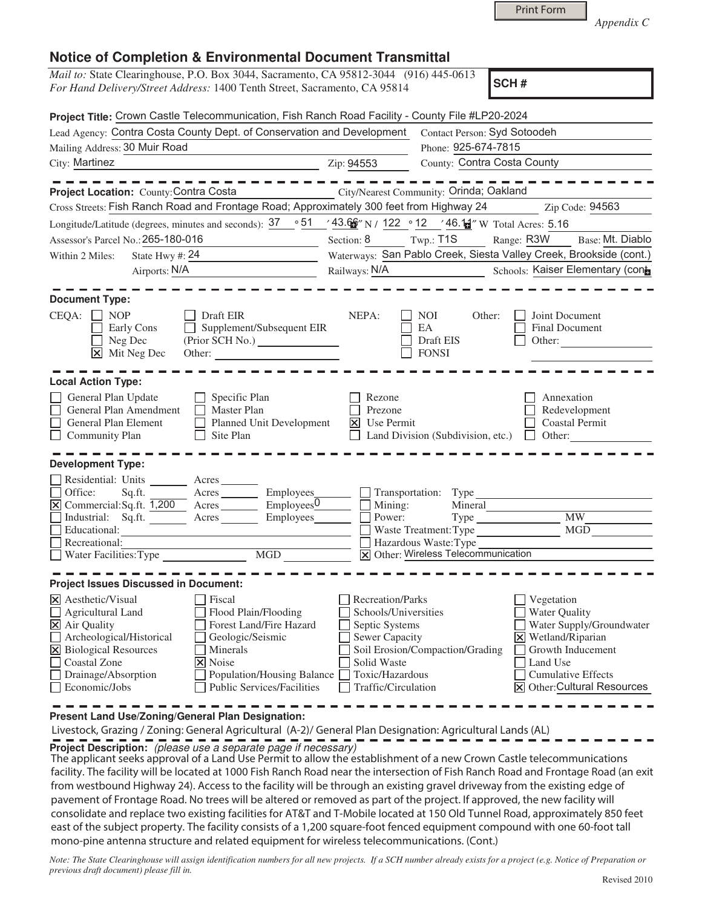*Appendix C* 

|  |  | <b>Notice of Completion &amp; Environmental Document Transmittal</b> |
|--|--|----------------------------------------------------------------------|
|--|--|----------------------------------------------------------------------|

| <u>nonce or completion a Environmental Document Transmittal</u>                                                                                                                                                                                                                                                                                                                    |                                                                                                                                                                                                                                                                                                                                                                                                |  |  |
|------------------------------------------------------------------------------------------------------------------------------------------------------------------------------------------------------------------------------------------------------------------------------------------------------------------------------------------------------------------------------------|------------------------------------------------------------------------------------------------------------------------------------------------------------------------------------------------------------------------------------------------------------------------------------------------------------------------------------------------------------------------------------------------|--|--|
| <i>Mail to:</i> State Clearinghouse, P.O. Box 3044, Sacramento, CA 95812-3044 (916) 445-0613<br>SCH#<br>For Hand Delivery/Street Address: 1400 Tenth Street, Sacramento, CA 95814                                                                                                                                                                                                  |                                                                                                                                                                                                                                                                                                                                                                                                |  |  |
| Project Title: Crown Castle Telecommunication, Fish Ranch Road Facility - County File #LP20-2024                                                                                                                                                                                                                                                                                   |                                                                                                                                                                                                                                                                                                                                                                                                |  |  |
| Lead Agency: Contra Costa County Dept. of Conservation and Development                                                                                                                                                                                                                                                                                                             | Contact Person: Syd Sotoodeh                                                                                                                                                                                                                                                                                                                                                                   |  |  |
| Mailing Address: 30 Muir Road                                                                                                                                                                                                                                                                                                                                                      | Phone: 925-674-7815                                                                                                                                                                                                                                                                                                                                                                            |  |  |
| City: Martinez                                                                                                                                                                                                                                                                                                                                                                     | County: Contra Costa County<br>Zip: 94553                                                                                                                                                                                                                                                                                                                                                      |  |  |
| Project Location: County: Contra Costa                                                                                                                                                                                                                                                                                                                                             | City/Nearest Community: Orinda; Oakland                                                                                                                                                                                                                                                                                                                                                        |  |  |
|                                                                                                                                                                                                                                                                                                                                                                                    | Cross Streets: Fish Ranch Road and Frontage Road; Approximately 300 feet from Highway 24 Zip Code: 94563                                                                                                                                                                                                                                                                                       |  |  |
| $\circ$ 51<br>Longitude/Latitude (degrees, minutes and seconds): 37                                                                                                                                                                                                                                                                                                                | $\frac{(43.66)'}{2}$ N / 122 $\cdot$ 12 $\cdot$ 46.1 <sup>2</sup> W Total Acres: 5.16                                                                                                                                                                                                                                                                                                          |  |  |
| Assessor's Parcel No.: 265-180-016                                                                                                                                                                                                                                                                                                                                                 | Base: Mt. Diablo<br>Range: R3W<br>Section: 8 Twp.: T1S                                                                                                                                                                                                                                                                                                                                         |  |  |
| State Hwy #: $24$<br>Within 2 Miles:                                                                                                                                                                                                                                                                                                                                               | Waterways: San Pablo Creek, Siesta Valley Creek, Brookside (cont.)                                                                                                                                                                                                                                                                                                                             |  |  |
| Airports: N/A                                                                                                                                                                                                                                                                                                                                                                      | Railways: N/A<br>Schools: Kaiser Elementary (cont                                                                                                                                                                                                                                                                                                                                              |  |  |
| <b>Document Type:</b>                                                                                                                                                                                                                                                                                                                                                              |                                                                                                                                                                                                                                                                                                                                                                                                |  |  |
| CEQA:<br><b>NOP</b><br>Draft EIR<br>Supplement/Subsequent EIR<br>Early Cons<br>Neg Dec<br>(Prior SCH No.)<br>$\overline{\mathsf{x}}$ Mit Neg Dec<br>Other:                                                                                                                                                                                                                         | NEPA:<br>Joint Document<br><b>NOI</b><br>Other:<br>Final Document<br>EA<br>Draft EIS<br>Other:<br><b>FONSI</b>                                                                                                                                                                                                                                                                                 |  |  |
| <b>Local Action Type:</b>                                                                                                                                                                                                                                                                                                                                                          |                                                                                                                                                                                                                                                                                                                                                                                                |  |  |
| General Plan Update<br>Specific Plan<br>General Plan Amendment<br>Master Plan<br>General Plan Element<br>Planned Unit Development<br>Community Plan<br>Site Plan<br>$\perp$                                                                                                                                                                                                        | Rezone<br>Annexation<br>Prezone<br>Redevelopment<br>Coastal Permit<br>$\vert \mathsf{X} \vert$ Use Permit<br>Land Division (Subdivision, etc.)<br>Other:                                                                                                                                                                                                                                       |  |  |
| <b>Development Type:</b>                                                                                                                                                                                                                                                                                                                                                           |                                                                                                                                                                                                                                                                                                                                                                                                |  |  |
| Residential: Units<br>Office:<br>Employees_<br>Sq.ft.<br>Acres<br>Employes <sup>0</sup><br>$\overline{\mathsf{X}}$ Commercial: Sq.ft. $\overline{1,}200$<br>$A$ cres $\_\_\_\_\_\_\_\$<br>Industrial: Sq.ft.<br>Acres<br>Employees<br>Educational:<br>Recreational:<br>$\overline{MGD}$<br>Water Facilities: Type                                                                  | Transportation: Type<br>Mining:<br>Mineral<br><b>MW</b><br>Power:<br>MGD<br>Waste Treatment: Type<br>Hazardous Waste: Type<br>X Other: Wireless Telecommunication                                                                                                                                                                                                                              |  |  |
| <b>Project Issues Discussed in Document:</b>                                                                                                                                                                                                                                                                                                                                       |                                                                                                                                                                                                                                                                                                                                                                                                |  |  |
| $\times$ Aesthetic/Visual<br>Fiscal<br>Agricultural Land<br>Flood Plain/Flooding<br>Air Quality<br>Forest Land/Fire Hazard<br>$\mathsf{\times}$<br>Archeological/Historical<br>Geologic/Seismic<br>X Biological Resources<br>Minerals<br>X Noise<br><b>Coastal Zone</b><br>Drainage/Absorption<br>Population/Housing Balance<br>Economic/Jobs<br><b>Public Services/Facilities</b> | <b>Recreation/Parks</b><br>Vegetation<br><b>Water Quality</b><br>Schools/Universities<br>Water Supply/Groundwater<br>Septic Systems<br>Sewer Capacity<br>Wetland/Riparian<br>$\vert \mathsf{x} \vert$<br>Soil Erosion/Compaction/Grading<br>Growth Inducement<br>Solid Waste<br>Land Use<br>Toxic/Hazardous<br><b>Cumulative Effects</b><br>X Other: Cultural Resources<br>Traffic/Circulation |  |  |

**Present Land Use/Zoning/General Plan Designation:**

 Livestock, Grazing / Zoning: General Agricultural (A-2)/ General Plan Designation: Agricultural Lands (AL) **Project Description:** (please use a separate page if necessary)

 The applicant seeks approval of a Land Use Permit to allow the establishment of a new Crown Castle telecommunications facility. The facility will be located at 1000 Fish Ranch Road near the intersection of Fish Ranch Road and Frontage Road (an exit from westbound Highway 24). Access to the facility will be through an existing gravel driveway from the existing edge of pavement of Frontage Road. No trees will be altered or removed as part of the project. If approved, the new facility will consolidate and replace two existing facilities for AT&T and T-Mobile located at 150 Old Tunnel Road, approximately 850 feet east of the subject property. The facility consists of a 1,200 square-foot fenced equipment compound with one 60-foot tall mono-pine antenna structure and related equipment for wireless telecommunications. (Cont.)

*Note: The State Clearinghouse will assign identification numbers for all new projects. If a SCH number already exists for a project (e.g. Notice of Preparation or previous draft document) please fill in.*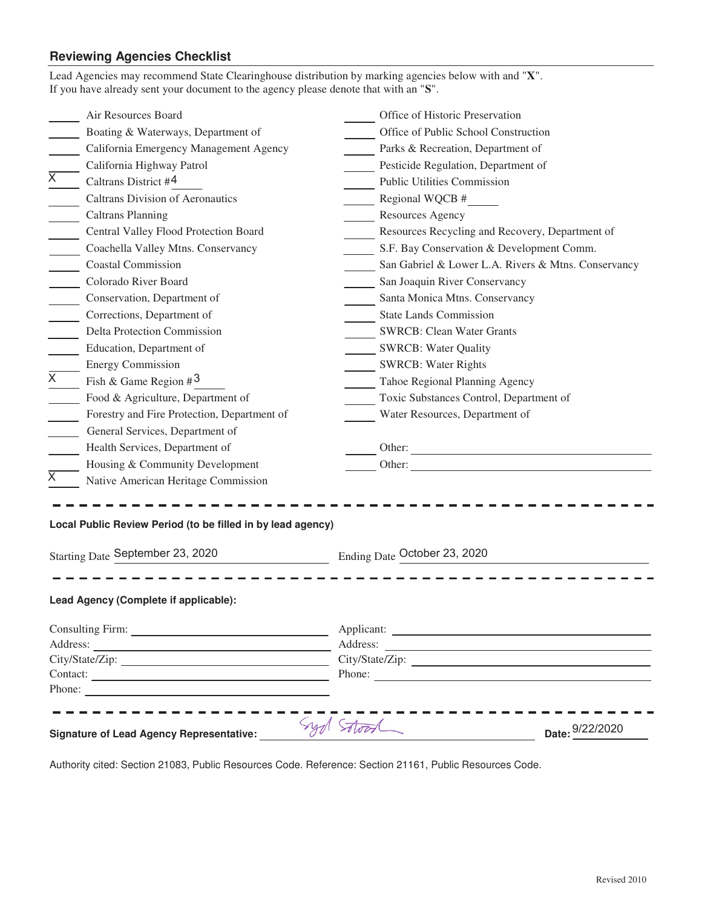### **Reviewing Agencies Checklist**

| Lead Agencies may recommend State Clearinghouse distribution by marking agencies below with and "X".<br>If you have already sent your document to the agency please denote that with an "S". |                                                     |
|----------------------------------------------------------------------------------------------------------------------------------------------------------------------------------------------|-----------------------------------------------------|
| Air Resources Board                                                                                                                                                                          | Office of Historic Preservation                     |
| Boating & Waterways, Department of                                                                                                                                                           | Office of Public School Construction                |
| California Emergency Management Agency                                                                                                                                                       | Parks & Recreation, Department of                   |
| California Highway Patrol<br>$\mathcal{L}^{\text{max}}$                                                                                                                                      | Pesticide Regulation, Department of                 |
| $\overline{X}$<br>Caltrans District #4                                                                                                                                                       | Public Utilities Commission                         |
| <b>Caltrans Division of Aeronautics</b>                                                                                                                                                      | Regional WQCB #                                     |
| $\overline{\phantom{a}}$<br><b>Caltrans Planning</b>                                                                                                                                         | <b>Resources Agency</b>                             |
| Central Valley Flood Protection Board                                                                                                                                                        | Resources Recycling and Recovery, Department of     |
| Coachella Valley Mtns. Conservancy                                                                                                                                                           | S.F. Bay Conservation & Development Comm.           |
| <b>Coastal Commission</b>                                                                                                                                                                    | San Gabriel & Lower L.A. Rivers & Mtns. Conservancy |
| Colorado River Board<br>$\mathcal{L}^{\text{max}}$                                                                                                                                           | San Joaquin River Conservancy                       |
| Conservation, Department of                                                                                                                                                                  | Santa Monica Mtns. Conservancy                      |
| Corrections, Department of                                                                                                                                                                   | <b>State Lands Commission</b>                       |
| Delta Protection Commission                                                                                                                                                                  | <b>SWRCB: Clean Water Grants</b>                    |
| Education, Department of                                                                                                                                                                     | <b>SWRCB: Water Quality</b>                         |
| <b>Energy Commission</b>                                                                                                                                                                     | <b>SWRCB: Water Rights</b>                          |
| $\overline{X}$<br>Fish & Game Region $#3$                                                                                                                                                    | Tahoe Regional Planning Agency                      |
| Food & Agriculture, Department of                                                                                                                                                            | Toxic Substances Control, Department of             |
| Forestry and Fire Protection, Department of                                                                                                                                                  | Water Resources, Department of                      |
| General Services, Department of                                                                                                                                                              |                                                     |
| Health Services, Department of                                                                                                                                                               |                                                     |
| Housing & Community Development                                                                                                                                                              |                                                     |
| $\overline{X}$<br>Native American Heritage Commission                                                                                                                                        |                                                     |
| Local Public Review Period (to be filled in by lead agency)<br>Starting Date September 23, 2020                                                                                              | Ending Date October 23, 2020                        |
| Lead Agency (Complete if applicable):                                                                                                                                                        |                                                     |
|                                                                                                                                                                                              |                                                     |
|                                                                                                                                                                                              |                                                     |
|                                                                                                                                                                                              |                                                     |
|                                                                                                                                                                                              | Phone:                                              |
| Phone:                                                                                                                                                                                       |                                                     |
| <b>Signature of Lead Agency Representative:</b>                                                                                                                                              | Syd Stood<br>Date: 9/22/2020                        |

Authority cited: Section 21083, Public Resources Code. Reference: Section 21161, Public Resources Code.